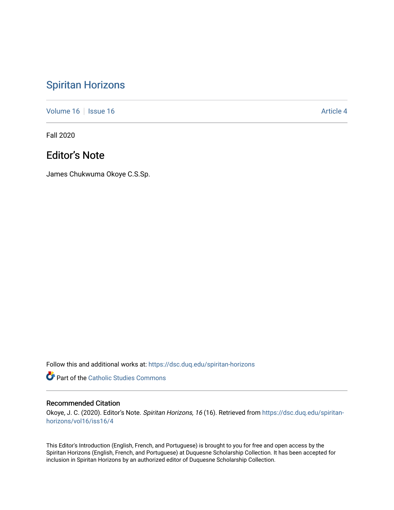## [Spiritan Horizons](https://dsc.duq.edu/spiritan-horizons)

[Volume 16](https://dsc.duq.edu/spiritan-horizons/vol16) | [Issue 16](https://dsc.duq.edu/spiritan-horizons/vol16/iss16) |  $\blacksquare$ 

Fall 2020

## Editor's Note

James Chukwuma Okoye C.S.Sp.

Follow this and additional works at: [https://dsc.duq.edu/spiritan-horizons](https://dsc.duq.edu/spiritan-horizons?utm_source=dsc.duq.edu%2Fspiritan-horizons%2Fvol16%2Fiss16%2F4&utm_medium=PDF&utm_campaign=PDFCoverPages)

**Part of the [Catholic Studies Commons](http://network.bepress.com/hgg/discipline/1294?utm_source=dsc.duq.edu%2Fspiritan-horizons%2Fvol16%2Fiss16%2F4&utm_medium=PDF&utm_campaign=PDFCoverPages)** 

## Recommended Citation

Okoye, J. C. (2020). Editor's Note. Spiritan Horizons, 16 (16). Retrieved from [https://dsc.duq.edu/spiritan](https://dsc.duq.edu/spiritan-horizons/vol16/iss16/4?utm_source=dsc.duq.edu%2Fspiritan-horizons%2Fvol16%2Fiss16%2F4&utm_medium=PDF&utm_campaign=PDFCoverPages)[horizons/vol16/iss16/4](https://dsc.duq.edu/spiritan-horizons/vol16/iss16/4?utm_source=dsc.duq.edu%2Fspiritan-horizons%2Fvol16%2Fiss16%2F4&utm_medium=PDF&utm_campaign=PDFCoverPages)

This Editor's Introduction (English, French, and Portuguese) is brought to you for free and open access by the Spiritan Horizons (English, French, and Portuguese) at Duquesne Scholarship Collection. It has been accepted for inclusion in Spiritan Horizons by an authorized editor of Duquesne Scholarship Collection.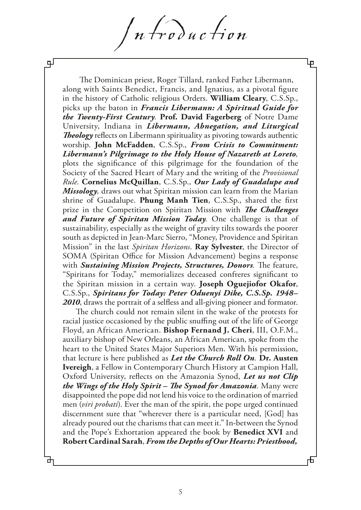n troduction

Ψ

The Dominican priest, Roger Tillard, ranked Father Libermann, along with Saints Benedict, Francis, and Ignatius, as a pivotal fgure in the history of Catholic religious Orders. **William Cleary**, C.S.Sp., picks up the baton in *Francis Libermann: A Spiritual Guide for the Twenty-First Century.* **Prof. David Fagerberg** of Notre Dame University, Indiana in *Libermann, Abnegation, and Liturgical*  **Theology** reflects on Libermann spirituality as pivoting towards authentic worship. **John McFadden**, C.S.Sp., *From Crisis to Commitment: Libermann's Pilgrimage to the Holy House of Nazareth at Loreto,*  plots the signifcance of this pilgrimage for the foundation of the Society of the Sacred Heart of Mary and the writing of the *Provisional Rule*. **Cornelius McQuillan**, C.S.Sp., *Our Lady of Guadalupe and Missology,* draws out what Spiritan mission can learn from the Marian shrine of Guadalupe. **Phung Manh Tien**, C.S.Sp., shared the frst prize in the Competition on Spiritan Mission with *The Challenges and Future of Spiritan Mission Today.* One challenge is that of sustainability, especially as the weight of gravity tilts towards the poorer south as depicted in Jean-Marc Sierro, "Money, Providence and Spiritan Mission" in the last *Spiritan Horizons*. **Ray Sylvester**, the Director of SOMA (Spiritan Office for Mission Advancement) begins a response with *Sustaining Mission Projects, Structures, Donors.* The feature, "Spiritans for Today," memorializes deceased confreres signifcant to the Spiritan mission in a certain way. **Joseph Oguejiofor Okafor**, C.S.Sp., *Spiritans for Today: Peter Oduenyi Dike, C.S.Sp. 1948– 2010*, draws the portrait of a selfess and all-giving pioneer and formator.

The church could not remain silent in the wake of the protests for racial justice occasioned by the public snufng out of the life of George Floyd, an African American. **Bishop Fernand J. Cheri**, III, O.F.M., auxiliary bishop of New Orleans, an African American, spoke from the heart to the United States Major Superiors Men. With his permission, that lecture is here published as *Let the Church Roll On.* **Dr. Austen Ivereigh**, a Fellow in Contemporary Church History at Campion Hall, Oxford University, refects on the Amazonia Synod, *Let us not Clip the Wings of the Holy Spirit – The Synod for Amazonia.* **Many were** disappointed the pope did not lend his voice to the ordination of married men (*viri probati*). Ever the man of the spirit, the pope urged continued discernment sure that "wherever there is a particular need, [God] has already poured out the charisms that can meet it." In-between the Synod and the Pope's Exhortation appeared the book by **Benedict XVI** and **Robert Cardinal Sarah**, *From the Depths of Our Hearts: Priesthood,* 

பு